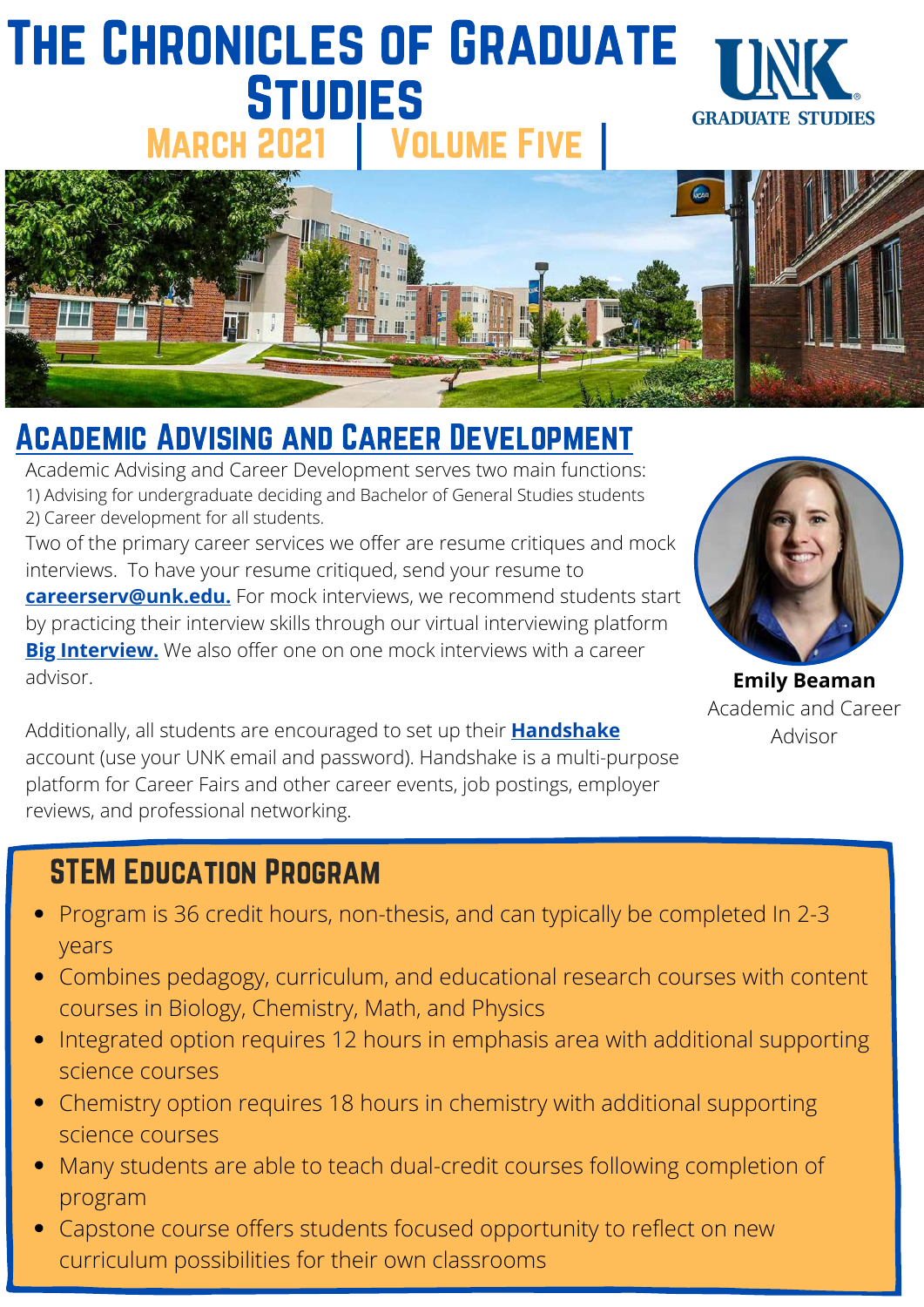### The Chronicles of Graduate **STUDIES GRADUATE STUDIES** MARCH 2021 | VOLUME FIVE



### Academic Advising and Career Development

Academic Advising and Career Development serves two main functions: 1) Advising for undergraduate deciding and Bachelor of General Studies students 2) Career development for all students.

Two of the primary career services we offer are resume critiques and mock interviews. To have your resume critiqued, send your resume to **[careerserv@unk.edu.](http://unk.edu/)** For mock interviews, we recommend students start by practicing their interview skills through our virtual interviewing platform **[Big Interview.](https://unk.biginterview.com/)** We also offer one on one mock interviews with a career advisor.

Additionally, all students are encouraged to set up their **[Handshake](https://unk.joinhandshake.com/login)** account (use your UNK email and password). Handshake is a multi-purpose platform for Career Fairs and other career events, job postings, employer reviews, and professional networking.

**Emily Beaman** Academic and Career Advisor

### STEM Education Program

- Program is 36 credit hours, non-thesis, and can typically be completed In 2-3 years
- Combines pedagogy, curriculum, and educational research courses with content courses in Biology, Chemistry, Math, and Physics
- Integrated option requires 12 hours in emphasis area with additional supporting science courses
- Chemistry option requires 18 hours in chemistry with additional supporting science courses
- Many students are able to teach dual-credit courses following completion of program
- Capstone course offers students focused opportunity to reflect on new curriculum possibilities for their own classrooms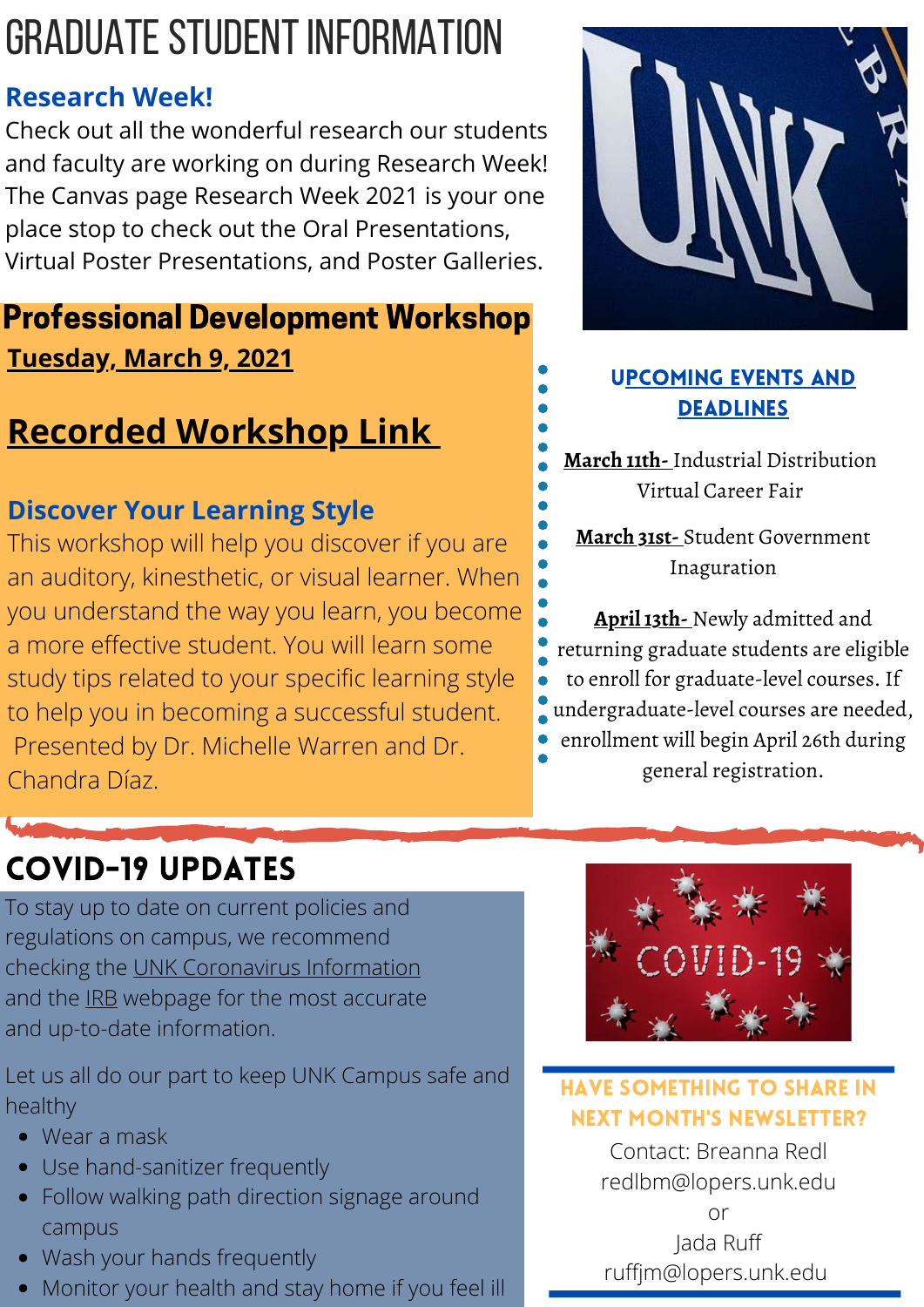# Graduate Student Information

### **Research Week!**

Check out all the wonderful research our students and faculty are working on during Research Week! The Canvas page Research Week 2021 is your one place stop to check out the Oral Presentations, Virtual Poster Presentations, and Poster Galleries.

### **Tuesday, March 9, 2021** Professional Development Workshop

## **[Recorded Workshop Link](https://unk.zoom.us/rec/share/hzi4SJx0jvhV-h_iyI1eSOqdW3o0fGN-fMVY-6yBwME5gpkQVPAWGTuAkHJQ_71s.F3xeW12u-ymCG-bH)**

### **Discover Your Learning Style**

This workshop will help you discover if you are an auditory, kinesthetic, or visual learner. When you understand the way you learn, you become a more effective student. You will learn some study tips related to your specific learning style to help you in becoming a successful student. Presented by Dr. Michelle Warren and Dr. Chandra Díaz.



### Upcoming Events and **DEADLINES**

**March 11th-** Industrial Distribution Virtual Career Fair

**March 31st-** Student Government Inaguration

**April 13th-** Newly admitted and returning graduate students are eligible to enroll for graduate-level courses. If undergraduate-level courses are needed, enrollment will begin April 26th during general registration.

### CoVID-19 Updates

To stay up to date on current policies and regulations on campus, we recommend checking the [UNK Coronavirus Information](https://www.unk.edu/coronavirus/) and the **IRB** webpage for the most accurate and up-to-date information.

Let us all do our part to keep UNK Campus safe and healthy

- Wear a mask
- Use hand-sanitizer frequently
- Follow walking path direction signage around campus
- Wash your hands frequently
- Monitor your health and stay home if you feel ill



#### Have something to share in next month's newsletter?

Contact: Breanna Redl redlbm@lopers.unk.edu or Jada Ruff ruffjm@lopers.unk.edu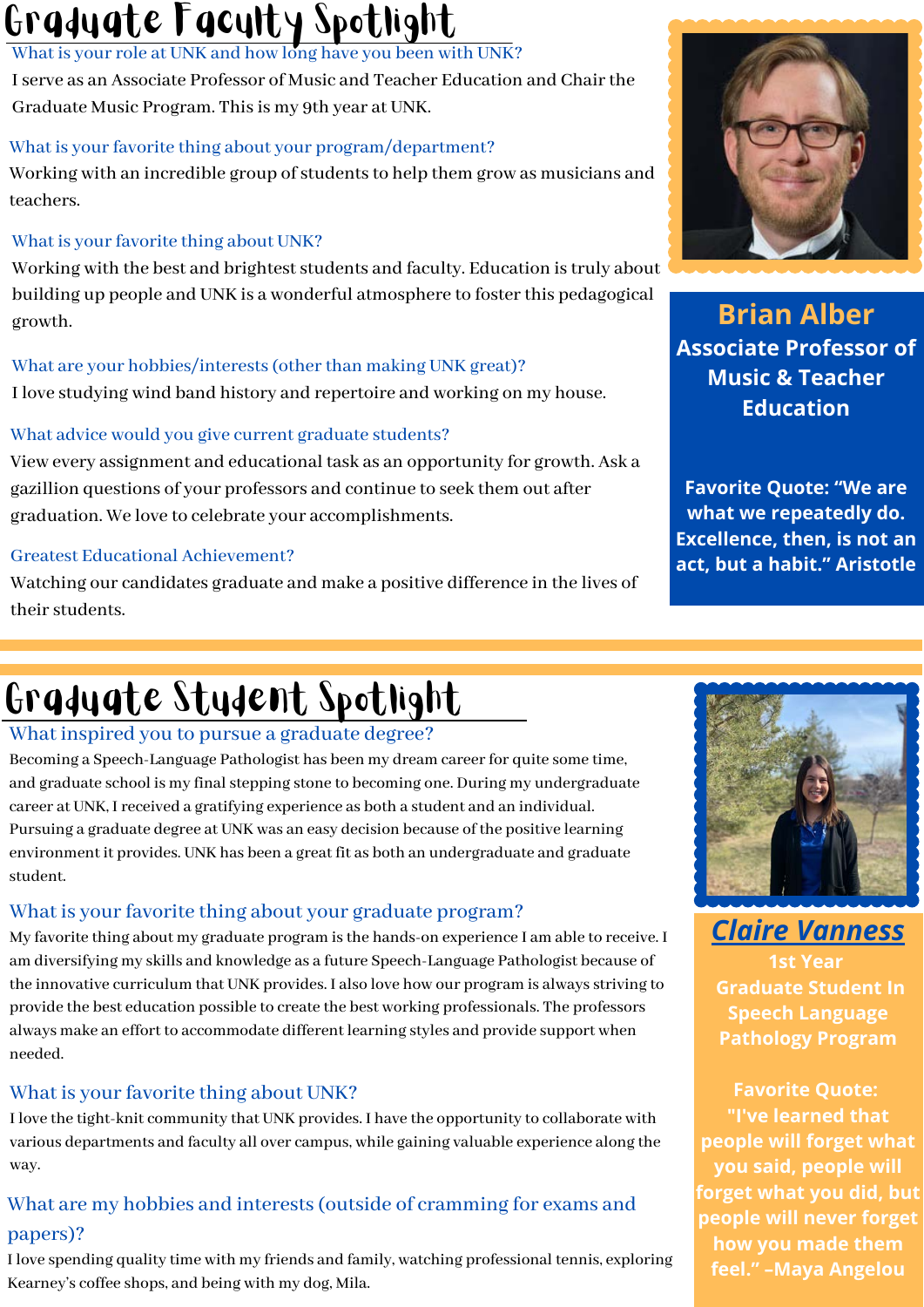# Graduate Faculty Spotlight

What is your role at UNK and how long have you been with UNK?

I serve as an Associate Professor of Music and Teacher Education and Chair the Graduate Music Program. This is my 9th year at UNK.

#### What is your favorite thing about your program/department?

Working with an incredible group of students to help them grow as musicians and teachers.

#### What is your favorite thing about UNK?

Working with the best and brightest students and faculty. Education is truly about building up people and UNK is a wonderful atmosphere to foster this pedagogical growth.

#### What are your hobbies/interests (other than making UNK great)?

I love studying wind band history and repertoire and working on my house.

#### What advice would you give current graduate students?

View every assignment and educational task as an opportunity for growth. Ask a gazillion questions of your professors and continue to seek them out after graduation. We love to celebrate your accomplishments.

#### Greatest Educational Achievement?

Watching our candidates graduate and make a positive difference in the lives of their students.

# Graduate Student Spotlight

#### What inspired you to pursue a graduate degree?

Becoming a Speech-Language Pathologist has been my dream career for quite some time, and graduate school is my final stepping stone to becoming one. During my undergraduate career at UNK, I received a gratifying experience as both a student and an individual. Pursuing a graduate degree at UNK was an easy decision because of the positive learning environment it provides. UNK has been a great fit as both an undergraduate and graduate student.

#### What is your favorite thing about your graduate program?

My favorite thing about my graduate program is the hands-on experience I am able to receive. I am diversifying my skills and knowledge as a future Speech-Language Pathologist because of the innovative curriculum that UNK provides. I also love how our program is always striving to provide the best education possible to create the best working professionals. The professors always make an effort to accommodate different learning styles and provide support when needed.

#### What is your favorite thing about UNK?

I love the tight-knit community that UNK provides. I have the opportunity to collaborate with various departments and faculty all over campus, while gaining valuable experience along the way.

#### What are my hobbies and interests (outside of cramming for exams and papers)?

I love spending quality time with my friends and family, watching professional tennis, exploring Kearney's coffee shops, and being with my dog, Mila.



**Brian Alber Associate Professor of Music & Teacher Education**

**Favorite Quote: "We are what we repeatedly do. Excellence, then, is not an act, but a habit." Aristotle**



*Claire Vanness*

**1st Year Graduate Student In Speech Language Pathology Program**

**Favorite Quote: "I've learned that people will forget what you said, people will forget what you did, but people will never forget how you made them feel." –Maya Angelou**